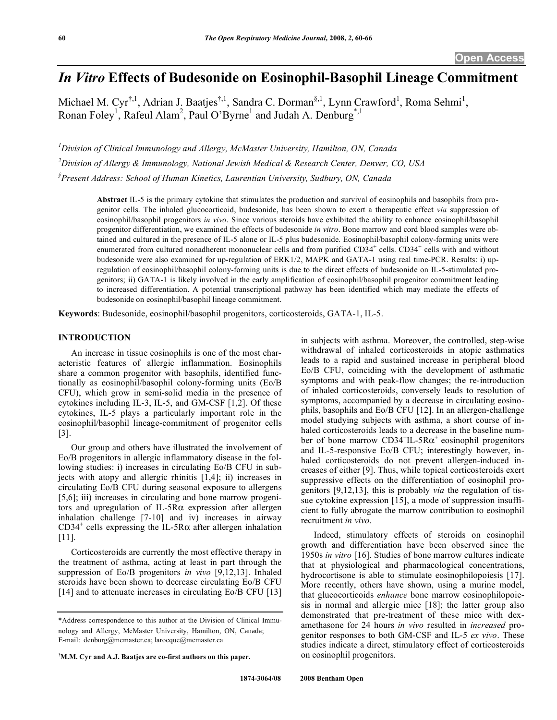# *In Vitro* **Effects of Budesonide on Eosinophil-Basophil Lineage Commitment**

Michael M. Cyr<sup>†,1</sup>, Adrian J. Baatjes<sup>†,1</sup>, Sandra C. Dorman<sup>§,1</sup>, Lynn Crawford<sup>1</sup>, Roma Sehmi<sup>1</sup>, Ronan Foley<sup>1</sup>, Rafeul Alam<sup>2</sup>, Paul O'Byrne<sup>1</sup> and Judah A. Denburg<sup>\*,1</sup>

*1 Division of Clinical Immunology and Allergy, McMaster University, Hamilton, ON, Canada* 

*2 Division of Allergy & Immunology, National Jewish Medical & Research Center, Denver, CO, USA* 

*§ Present Address: School of Human Kinetics, Laurentian University, Sudbury, ON, Canada* 

**Abstract** IL-5 is the primary cytokine that stimulates the production and survival of eosinophils and basophils from progenitor cells. The inhaled glucocorticoid, budesonide, has been shown to exert a therapeutic effect *via* suppression of eosinophil/basophil progenitors *in vivo*. Since various steroids have exhibited the ability to enhance eosinophil/basophil progenitor differentiation, we examined the effects of budesonide *in vitro*. Bone marrow and cord blood samples were obtained and cultured in the presence of IL-5 alone or IL-5 plus budesonide. Eosinophil/basophil colony-forming units were enumerated from cultured nonadherent mononuclear cells and from purified  $CD34^+$  cells.  $CD34^+$  cells with and without budesonide were also examined for up-regulation of ERK1/2, MAPK and GATA-1 using real time-PCR. Results: i) upregulation of eosinophil/basophil colony-forming units is due to the direct effects of budesonide on IL-5-stimulated progenitors; ii) GATA-1 is likely involved in the early amplification of eosinophil/basophil progenitor commitment leading to increased differentiation. A potential transcriptional pathway has been identified which may mediate the effects of budesonide on eosinophil/basophil lineage commitment.

**Keywords**: Budesonide, eosinophil/basophil progenitors, corticosteroids, GATA-1, IL-5.

# **INTRODUCTION**

 An increase in tissue eosinophils is one of the most characteristic features of allergic inflammation. Eosinophils share a common progenitor with basophils, identified functionally as eosinophil/basophil colony-forming units (Eo/B CFU), which grow in semi-solid media in the presence of cytokines including IL-3, IL-5, and GM-CSF [1,2]. Of these cytokines, IL-5 plays a particularly important role in the eosinophil/basophil lineage-commitment of progenitor cells [3].

 Our group and others have illustrated the involvement of Eo/B progenitors in allergic inflammatory disease in the following studies: i) increases in circulating Eo/B CFU in subjects with atopy and allergic rhinitis [1,4]; ii) increases in circulating Eo/B CFU during seasonal exposure to allergens [5,6]; iii) increases in circulating and bone marrow progenitors and upregulation of IL-5R $\alpha$  expression after allergen inhalation challenge [7-10] and iv) increases in airway CD34<sup>+</sup> cells expressing the IL-5R $\alpha$  after allergen inhalation [11].

 Corticosteroids are currently the most effective therapy in the treatment of asthma, acting at least in part through the suppression of Eo/B progenitors *in vivo* [9,12,13]. Inhaled steroids have been shown to decrease circulating Eo/B CFU [14] and to attenuate increases in circulating Eo/B CFU [13]

in subjects with asthma. Moreover, the controlled, step-wise withdrawal of inhaled corticosteroids in atopic asthmatics leads to a rapid and sustained increase in peripheral blood Eo/B CFU, coinciding with the development of asthmatic symptoms and with peak-flow changes; the re-introduction of inhaled corticosteroids, conversely leads to resolution of symptoms, accompanied by a decrease in circulating eosinophils, basophils and Eo/B CFU [12]. In an allergen-challenge model studying subjects with asthma, a short course of inhaled corticosteroids leads to a decrease in the baseline number of bone marrow  $CD34^+$ IL-5R $\alpha^+$  eosinophil progenitors and IL-5-responsive Eo/B CFU; interestingly however, inhaled corticosteroids do not prevent allergen-induced increases of either [9]. Thus, while topical corticosteroids exert suppressive effects on the differentiation of eosinophil progenitors [9,12,13], this is probably *via* the regulation of tissue cytokine expression [15], a mode of suppression insufficient to fully abrogate the marrow contribution to eosinophil recruitment *in vivo*.

 Indeed, stimulatory effects of steroids on eosinophil growth and differentiation have been observed since the 1950s *in vitro* [16]. Studies of bone marrow cultures indicate that at physiological and pharmacological concentrations, hydrocortisone is able to stimulate eosinophilopoiesis [17]. More recently, others have shown, using a murine model, that glucocorticoids *enhance* bone marrow eosinophilopoiesis in normal and allergic mice [18]; the latter group also demonstrated that pre-treatment of these mice with dexamethasone for 24 hours *in vivo* resulted in *increased* progenitor responses to both GM-CSF and IL-5 *ex vivo*. These studies indicate a direct, stimulatory effect of corticosteroids on eosinophil progenitors.

<sup>\*</sup>Address correspondence to this author at the Division of Clinical Immunology and Allergy, McMaster University, Hamilton, ON, Canada; E-mail: denburg@mcmaster.ca; larocque@mcmaster.ca

**<sup>†</sup> M.M. Cyr and A.J. Baatjes are co-first authors on this paper.**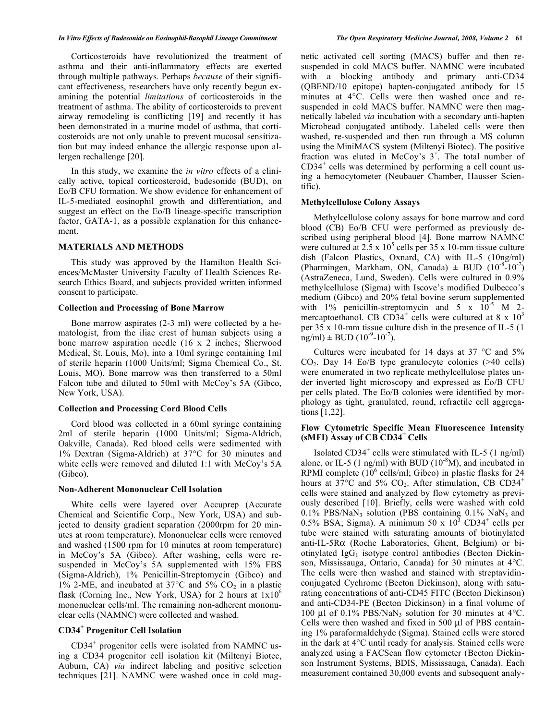#### *In Vitro Effects of Budesonide on Eosinophil-Basophil Lineage Commitment The Open Respiratory Medicine Journal, 2008, Volume 2* **61**

 Corticosteroids have revolutionized the treatment of asthma and their anti-inflammatory effects are exerted through multiple pathways. Perhaps *because* of their significant effectiveness, researchers have only recently begun examining the potential *limitations* of corticosteroids in the treatment of asthma. The ability of corticosteroids to prevent airway remodeling is conflicting [19] and recently it has been demonstrated in a murine model of asthma, that corticosteroids are not only unable to prevent mucosal sensitization but may indeed enhance the allergic response upon allergen rechallenge [20].

 In this study, we examine the *in vitro* effects of a clinically active, topical corticosteroid, budesonide (BUD), on Eo/B CFU formation. We show evidence for enhancement of IL-5-mediated eosinophil growth and differentiation, and suggest an effect on the Eo/B lineage-specific transcription factor, GATA-1, as a possible explanation for this enhancement.

# **MATERIALS AND METHODS**

 This study was approved by the Hamilton Health Sciences/McMaster University Faculty of Health Sciences Research Ethics Board, and subjects provided written informed consent to participate.

#### **Collection and Processing of Bone Marrow**

 Bone marrow aspirates (2-3 ml) were collected by a hematologist, from the iliac crest of human subjects using a bone marrow aspiration needle (16 x 2 inches; Sherwood Medical, St. Louis, Mo), into a 10ml syringe containing 1ml of sterile heparin (1000 Units/ml; Sigma Chemical Co., St. Louis, MO). Bone marrow was then transferred to a 50ml Falcon tube and diluted to 50ml with McCoy's 5A (Gibco, New York, USA).

# **Collection and Processing Cord Blood Cells**

 Cord blood was collected in a 60ml syringe containing 2ml of sterile heparin (1000 Units/ml; Sigma-Aldrich, Oakville, Canada). Red blood cells were sedimented with 1% Dextran (Sigma-Aldrich) at 37°C for 30 minutes and white cells were removed and diluted 1:1 with McCoy's 5A (Gibco).

### **Non-Adherent Mononuclear Cell Isolation**

 White cells were layered over Accuprep (Accurate Chemical and Scientific Corp., New York, USA) and subjected to density gradient separation (2000rpm for 20 minutes at room temperature). Mononuclear cells were removed and washed (1500 rpm for 10 minutes at room temperature) in McCoy's 5A (Gibco). After washing, cells were resuspended in McCoy's 5A supplemented with 15% FBS (Sigma-Aldrich), 1% Penicillin-Streptomycin (Gibco) and 1% 2-ME, and incubated at 37 $\rm{^{\circ}C}$  and 5%  $\rm{CO_{2}}$  in a plastic flask (Corning Inc., New York, USA) for 2 hours at  $1x10^6$ mononuclear cells/ml. The remaining non-adherent mononuclear cells (NAMNC) were collected and washed.

# **CD34<sup>+</sup> Progenitor Cell Isolation**

 CD34<sup>+</sup> progenitor cells were isolated from NAMNC using a CD34 progenitor cell isolation kit (Miltenyi Biotec, Auburn, CA) *via* indirect labeling and positive selection techniques [21]. NAMNC were washed once in cold magnetic activated cell sorting (MACS) buffer and then resuspended in cold MACS buffer. NAMNC were incubated with a blocking antibody and primary anti-CD34 (QBEND/10 epitope) hapten-conjugated antibody for 15 minutes at 4°C. Cells were then washed once and resuspended in cold MACS buffer. NAMNC were then magnetically labeled *via* incubation with a secondary anti-hapten Microbead conjugated antibody. Labeled cells were then washed, re-suspended and then run through a MS column using the MiniMACS system (Miltenyi Biotec). The positive fraction was eluted in McCoy's  $3^+$ . The total number of CD34<sup>+</sup> cells was determined by performing a cell count using a hemocytometer (Neubauer Chamber, Hausser Scientific).

# **Methylcellulose Colony Assays**

 Methylcellulose colony assays for bone marrow and cord blood (CB) Eo/B CFU were performed as previously described using peripheral blood [4]. Bone marrow NAMNC were cultured at  $2.5 \times 10^5$  cells per 35 x 10-mm tissue culture dish (Falcon Plastics, Oxnard, CA) with IL-5 (10ng/ml) (Pharmingen, Markham, ON, Canada)  $\pm$  BUD (10<sup>-8</sup>-10<sup>-7</sup>) (AstraZeneca, Lund, Sweden). Cells were cultured in 0.9% methylcellulose (Sigma) with Iscove's modified Dulbecco's medium (Gibco) and 20% fetal bovine serum supplemented with 1% penicillin-streptomycin and 5 x  $10^{-5}$  M 2mercaptoethanol. CB CD34<sup>+</sup> cells were cultured at 8 x  $10^3$ per 35 x 10-mm tissue culture dish in the presence of IL-5 (1  $ng/ml$   $\pm$  BUD (10<sup>-9</sup>-10<sup>-7</sup>).

Cultures were incubated for 14 days at 37  $\degree$ C and 5%  $CO<sub>2</sub>$ . Day 14 Eo/B type granulocyte colonies (>40 cells) were enumerated in two replicate methylcellulose plates under inverted light microscopy and expressed as Eo/B CFU per cells plated. The Eo/B colonies were identified by morphology as tight, granulated, round, refractile cell aggregations [1,22].

# **Flow Cytometric Specific Mean Fluorescence Intensity (sMFI) Assay of CB CD34<sup>+</sup> Cells**

Isolated  $CD34<sup>+</sup>$  cells were stimulated with IL-5 (1 ng/ml) alone, or IL-5 (1 ng/ml) with BUD ( $10<sup>8</sup>M$ ), and incubated in RPMI complete  $(10^6 \text{ cells/ml}$ ; Gibco) in plastic flasks for 24 hours at 37 $\degree$ C and 5% CO<sub>2</sub>. After stimulation, CB CD34<sup>+</sup> cells were stained and analyzed by flow cytometry as previously described [10]. Briefly, cells were washed with cold  $0.1\%$  PBS/NaN<sub>3</sub> solution (PBS containing  $0.1\%$  NaN<sub>3</sub> and 0.5% BSA; Sigma). A minimum 50 x  $10^3$  CD34<sup>+</sup> cells per tube were stained with saturating amounts of biotinylated anti-IL-5R $\alpha$  (Roche Laboratories, Ghent, Belgium) or biotinylated  $IgG_1$  isotype control antibodies (Becton Dickinson, Mississauga, Ontario, Canada) for 30 minutes at 4°C. The cells were then washed and stained with streptavidinconjugated Cychrome (Becton Dickinson), along with saturating concentrations of anti-CD45 FITC (Becton Dickinson) and anti-CD34-PE (Becton Dickinson) in a final volume of 100 μl of 0.1% PBS/NaN<sub>3</sub> solution for 30 minutes at 4°C. Cells were then washed and fixed in 500 μl of PBS containing 1% paraformaldehyde (Sigma). Stained cells were stored in the dark at 4°C until ready for analysis. Stained cells were analyzed using a FACScan flow cytometer (Becton Dickinson Instrument Systems, BDIS, Mississauga, Canada). Each measurement contained 30,000 events and subsequent analy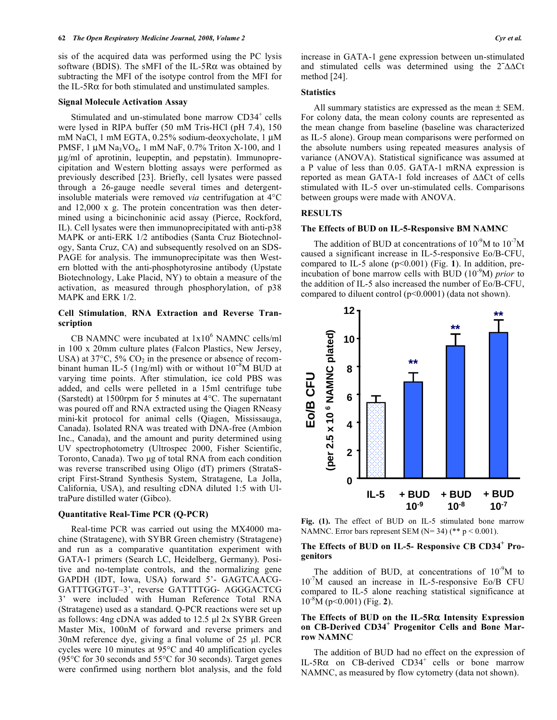sis of the acquired data was performed using the PC lysis software (BDIS). The sMFI of the IL-5R $\alpha$  was obtained by subtracting the MFI of the isotype control from the MFI for the IL-5R $\alpha$  for both stimulated and unstimulated samples.

#### **Signal Molecule Activation Assay**

Stimulated and un-stimulated bone marrow  $CD34<sup>+</sup>$  cells were lysed in RIPA buffer (50 mM Tris-HCl (pH 7.4), 150 mM NaCl, 1 mM EGTA, 0.25% sodium-deoxycholate, 1 μM PMSF,  $1 \mu M$  Na<sub>3</sub>VO<sub>4</sub>, 1 mM NaF, 0.7% Triton X-100, and 1 μg/ml of aprotinin, leupeptin, and pepstatin). Immunoprecipitation and Western blotting assays were performed as previously described [23]. Briefly, cell lysates were passed through a 26-gauge needle several times and detergentinsoluble materials were removed *via* centrifugation at 4°C and 12,000 x g. The protein concentration was then determined using a bicinchoninic acid assay (Pierce, Rockford, IL). Cell lysates were then immunoprecipitated with anti-p38 MAPK or anti-ERK 1/2 antibodies (Santa Cruz Biotechnology, Santa Cruz, CA) and subsequently resolved on an SDS-PAGE for analysis. The immunoprecipitate was then Western blotted with the anti-phosphotyrosine antibody (Upstate Biotechnology, Lake Placid, NY) to obtain a measure of the activation, as measured through phosphorylation, of p38 MAPK and ERK 1/2.

# **Cell Stimulation**, **RNA Extraction and Reverse Transcription**

CB NAMNC were incubated at  $1x10^6$  NAMNC cells/ml in 100 x 20mm culture plates (Falcon Plastics, New Jersey, USA) at  $37^{\circ}$ C,  $5\%$  CO<sub>2</sub> in the presence or absence of recombinant human IL-5 (1ng/ml) with or without  $10^{-8}$ M BUD at varying time points. After stimulation, ice cold PBS was added, and cells were pelleted in a 15ml centrifuge tube (Sarstedt) at 1500rpm for 5 minutes at 4°C. The supernatant was poured off and RNA extracted using the Qiagen RNeasy mini-kit protocol for animal cells (Qiagen, Mississauga, Canada). Isolated RNA was treated with DNA-free (Ambion Inc., Canada), and the amount and purity determined using UV spectrophotometry (Ultrospec 2000, Fisher Scientific, Toronto, Canada). Two μg of total RNA from each condition was reverse transcribed using Oligo (dT) primers (StrataScript First-Strand Synthesis System, Stratagene, La Jolla, California, USA), and resulting cDNA diluted 1:5 with UltraPure distilled water (Gibco).

# **Quantitative Real-Time PCR (Q-PCR)**

 Real-time PCR was carried out using the MX4000 machine (Stratagene), with SYBR Green chemistry (Stratagene) and run as a comparative quantitation experiment with GATA-1 primers (Search LC, Heidelberg, Germany). Positive and no-template controls, and the normalizing gene GAPDH (IDT, Iowa, USA) forward 5'- GAGTCAACG-GATTTGGTGT–3', reverse GATTTTGG- AGGGACTCG 3' were included with Human Reference Total RNA (Stratagene) used as a standard. Q-PCR reactions were set up as follows: 4ng cDNA was added to 12.5 μl 2x SYBR Green Master Mix, 100nM of forward and reverse primers and 30nM reference dye, giving a final volume of 25 μl. PCR cycles were 10 minutes at 95°C and 40 amplification cycles (95°C for 30 seconds and 55°C for 30 seconds). Target genes were confirmed using northern blot analysis, and the fold increase in GATA-1 gene expression between un-stimulated and stimulated cells was determined using the  $2^2\Delta\Delta Ct$ method [24].

#### **Statistics**

 All summary statistics are expressed as the mean ± SEM. For colony data, the mean colony counts are represented as the mean change from baseline (baseline was characterized as IL-5 alone). Group mean comparisons were performed on the absolute numbers using repeated measures analysis of variance (ANOVA). Statistical significance was assumed at a P value of less than 0.05. GATA-1 mRNA expression is reported as mean GATA-1 fold increases of  $\triangle\triangle C$ t of cells stimulated with IL-5 over un-stimulated cells. Comparisons between groups were made with ANOVA.

# **RESULTS**

# **The Effects of BUD on IL-5-Responsive BM NAMNC**

The addition of BUD at concentrations of  $10^{-9}M$  to  $10^{-7}M$ caused a significant increase in IL-5-responsive Eo/B-CFU, compared to IL-5 alone (p<0.001) (Fig. **1**). In addition, preincubation of bone marrow cells with BUD (10-9M) *prior* to the addition of IL-5 also increased the number of Eo/B-CFU, compared to diluent control (p<0.0001) (data not shown).



**Fig. (1).** The effect of BUD on IL-5 stimulated bone marrow NAMNC. Error bars represent SEM ( $N=34$ ) (\*\* p < 0.001).

# **The Effects of BUD on IL-5- Responsive CB CD34<sup>+</sup> Progenitors**

The addition of BUD, at concentrations of  $10^{-9}M$  to 10-7M caused an increase in IL-5-responsive Eo/B CFU compared to IL-5 alone reaching statistical significance at 10-8M (p<0.001) (Fig. **2**).

# The Effects of BUD on the IL-5R $\alpha$  Intensity Expression **on CB-Derived CD34<sup>+</sup> Progenitor Cells and Bone Marrow NAMNC**

 The addition of BUD had no effect on the expression of IL-5R $\alpha$  on CB-derived CD34<sup>+</sup> cells or bone marrow NAMNC, as measured by flow cytometry (data not shown).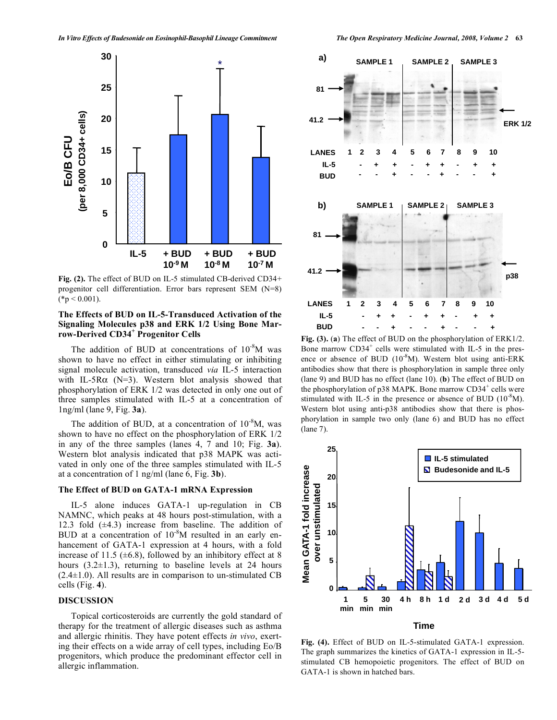

**Fig. (2).** The effect of BUD on IL-5 stimulated CB-derived CD34+ progenitor cell differentiation. Error bars represent SEM (N=8)  $(*p < 0.001).$ 

# **The Effects of BUD on IL-5-Transduced Activation of the Signaling Molecules p38 and ERK 1/2 Using Bone Marrow-Derived CD34<sup>+</sup> Progenitor Cells**

The addition of BUD at concentrations of  $10^{-8}M$  was shown to have no effect in either stimulating or inhibiting signal molecule activation, transduced *via* IL-5 interaction with IL-5R $\alpha$  (N=3). Western blot analysis showed that phosphorylation of ERK 1/2 was detected in only one out of three samples stimulated with IL-5 at a concentration of 1ng/ml (lane 9, Fig. **3a**).

The addition of BUD, at a concentration of  $10^{-8}M$ , was shown to have no effect on the phosphorylation of ERK 1/2 in any of the three samples (lanes 4, 7 and 10; Fig. **3a**). Western blot analysis indicated that p38 MAPK was activated in only one of the three samples stimulated with IL-5 at a concentration of 1 ng/ml (lane 6, Fig. **3b**).

# **The Effect of BUD on GATA-1 mRNA Expression**

 IL-5 alone induces GATA-1 up-regulation in CB NAMNC, which peaks at 48 hours post-stimulation, with a 12.3 fold  $(\pm 4.3)$  increase from baseline. The addition of BUD at a concentration of  $10^{-8}$ M resulted in an early enhancement of GATA-1 expression at 4 hours, with a fold increase of 11.5 ( $\pm$ 6.8), followed by an inhibitory effect at 8 hours  $(3.2\pm1.3)$ , returning to baseline levels at 24 hours  $(2.4\pm1.0)$ . All results are in comparison to un-stimulated CB cells (Fig. **4**).

# **DISCUSSION**

 Topical corticosteroids are currently the gold standard of therapy for the treatment of allergic diseases such as asthma and allergic rhinitis. They have potent effects *in vivo*, exerting their effects on a wide array of cell types, including Eo/B progenitors, which produce the predominant effector cell in allergic inflammation.



**Fig. (3).** (**a**) The effect of BUD on the phosphorylation of ERK1/2. Bone marrow CD34<sup>+</sup> cells were stimulated with IL-5 in the presence or absence of BUD  $(10^{-8}M)$ . Western blot using anti-ERK antibodies show that there is phosphorylation in sample three only (lane 9) and BUD has no effect (lane 10). (**b**) The effect of BUD on the phosphorylation of  $p38$  MAPK. Bone marrow CD34<sup>+</sup> cells were stimulated with IL-5 in the presence or absence of BUD  $(10^{-8}M)$ . Western blot using anti-p38 antibodies show that there is phosphorylation in sample two only (lane 6) and BUD has no effect (lane 7).



**Fig. (4).** Effect of BUD on IL-5-stimulated GATA-1 expression. The graph summarizes the kinetics of GATA-1 expression in IL-5 stimulated CB hemopoietic progenitors. The effect of BUD on GATA-1 is shown in hatched bars.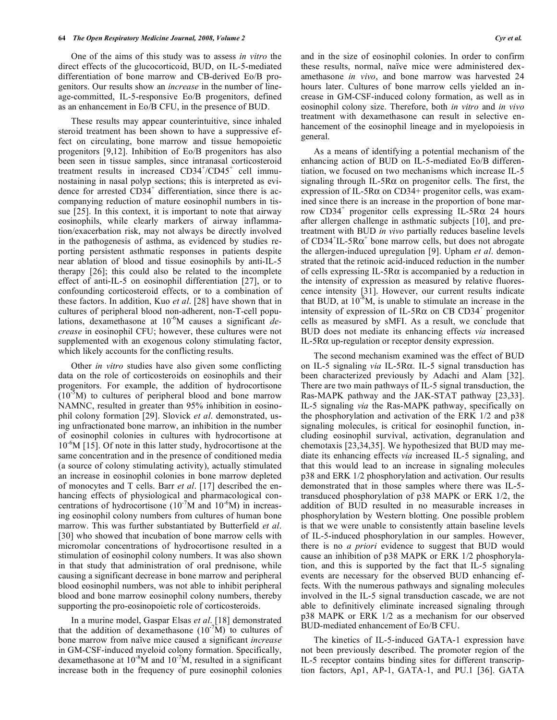One of the aims of this study was to assess *in vitro* the direct effects of the glucocorticoid, BUD, on IL-5-mediated differentiation of bone marrow and CB-derived Eo/B progenitors. Our results show an *increase* in the number of lineage-committed, IL-5-responsive Eo/B progenitors, defined as an enhancement in Eo/B CFU, in the presence of BUD.

 These results may appear counterintuitive, since inhaled steroid treatment has been shown to have a suppressive effect on circulating, bone marrow and tissue hemopoietic progenitors [9,12]. Inhibition of Eo/B progenitors has also been seen in tissue samples, since intranasal corticosteroid treatment results in increased CD34<sup>+</sup>/CD45<sup>+</sup> cell immunostaining in nasal polyp sections; this is interpreted as evidence for arrested CD34<sup>+</sup> differentiation, since there is accompanying reduction of mature eosinophil numbers in tissue [25]. In this context, it is important to note that airway eosinophils, while clearly markers of airway inflammation/exacerbation risk, may not always be directly involved in the pathogenesis of asthma, as evidenced by studies reporting persistent asthmatic responses in patients despite near ablation of blood and tissue eosinophils by anti-IL-5 therapy [26]; this could also be related to the incomplete effect of anti-IL-5 on eosinophil differentiation [27], or to confounding corticosteroid effects, or to a combination of these factors. In addition, Kuo *et al*. [28] have shown that in cultures of peripheral blood non-adherent, non-T-cell populations, dexamethasone at 10<sup>-6</sup>M causes a significant *decrease* in eosinophil CFU; however, these cultures were not supplemented with an exogenous colony stimulating factor, which likely accounts for the conflicting results.

 Other *in vitro* studies have also given some conflicting data on the role of corticosteroids on eosinophils and their progenitors. For example, the addition of hydrocortisone  $(10<sup>-5</sup>M)$  to cultures of peripheral blood and bone marrow NAMNC, resulted in greater than 95% inhibition in eosinophil colony formation [29]. Slovick *et al*. demonstrated, using unfractionated bone marrow, an inhibition in the number of eosinophil colonies in cultures with hydrocortisone at 10-6M [15]. Of note in this latter study, hydrocortisone at the same concentration and in the presence of conditioned media (a source of colony stimulating activity), actually stimulated an increase in eosinophil colonies in bone marrow depleted of monocytes and T cells. Barr *et al*. [17] described the enhancing effects of physiological and pharmacological concentrations of hydrocortisone  $(10^{-7}M$  and  $10^{-6}M)$  in increasing eosinophil colony numbers from cultures of human bone marrow. This was further substantiated by Butterfield *et al*. [30] who showed that incubation of bone marrow cells with micromolar concentrations of hydrocortisone resulted in a stimulation of eosinophil colony numbers. It was also shown in that study that administration of oral prednisone, while causing a significant decrease in bone marrow and peripheral blood eosinophil numbers, was not able to inhibit peripheral blood and bone marrow eosinophil colony numbers, thereby supporting the pro-eosinopoietic role of corticosteroids.

 In a murine model, Gaspar Elsas *et al*. [18] demonstrated that the addition of dexamethasone  $(10<sup>-7</sup>M)$  to cultures of bone marrow from naïve mice caused a significant *increase* in GM-CSF-induced myeloid colony formation. Specifically, dexamethasone at  $10^{-8}M$  and  $10^{-7}M$ , resulted in a significant increase both in the frequency of pure eosinophil colonies

and in the size of eosinophil colonies. In order to confirm these results, normal, naïve mice were administered dexamethasone *in vivo*, and bone marrow was harvested 24 hours later. Cultures of bone marrow cells yielded an increase in GM-CSF-induced colony formation, as well as in eosinophil colony size. Therefore, both *in vitro* and *in vivo* treatment with dexamethasone can result in selective enhancement of the eosinophil lineage and in myelopoiesis in general.

 As a means of identifying a potential mechanism of the enhancing action of BUD on IL-5-mediated Eo/B differentiation, we focused on two mechanisms which increase IL-5 signaling through IL-5R $\alpha$  on progenitor cells. The first, the expression of IL-5R $\alpha$  on CD34+ progenitor cells, was examined since there is an increase in the proportion of bone marrow CD34<sup>+</sup> progenitor cells expressing IL-5R $\alpha$  24 hours after allergen challenge in asthmatic subjects [10], and pretreatment with BUD *in vivo* partially reduces baseline levels of CD34<sup>+</sup>IL-5R $\alpha$ <sup>+</sup> bone marrow cells, but does not abrogate the allergen-induced upregulation [9]. Upham *et al*. demonstrated that the retinoic acid-induced reduction in the number of cells expressing IL-5R $\alpha$  is accompanied by a reduction in the intensity of expression as measured by relative fluorescence intensity [31]. However, our current results indicate that BUD, at  $10^{-8}M$ , is unable to stimulate an increase in the intensity of expression of IL-5R $\alpha$  on CB CD34<sup>+</sup> progenitor cells as measured by sMFI. As a result, we conclude that BUD does not mediate its enhancing effects *via* increased IL-5 $R\alpha$  up-regulation or receptor density expression.

 The second mechanism examined was the effect of BUD on IL-5 signaling *via* IL-5R. IL-5 signal transduction has been characterized previously by Adachi and Alam [32]. There are two main pathways of IL-5 signal transduction, the Ras-MAPK pathway and the JAK-STAT pathway [23,33]. IL-5 signaling *via* the Ras-MAPK pathway, specifically on the phosphorylation and activation of the ERK 1/2 and p38 signaling molecules, is critical for eosinophil function, including eosinophil survival, activation, degranulation and chemotaxis [23,34,35]. We hypothesized that BUD may mediate its enhancing effects *via* increased IL-5 signaling, and that this would lead to an increase in signaling molecules p38 and ERK 1/2 phosphorylation and activation. Our results demonstrated that in those samples where there was IL-5 transduced phosphorylation of p38 MAPK or ERK 1/2, the addition of BUD resulted in no measurable increases in phosphorylation by Western blotting. One possible problem is that we were unable to consistently attain baseline levels of IL-5-induced phosphorylation in our samples. However, there is no *a priori* evidence to suggest that BUD would cause an inhibition of p38 MAPK or ERK 1/2 phosphorylation, and this is supported by the fact that IL-5 signaling events are necessary for the observed BUD enhancing effects. With the numerous pathways and signaling molecules involved in the IL-5 signal transduction cascade, we are not able to definitively eliminate increased signaling through p38 MAPK or ERK 1/2 as a mechanism for our observed BUD-mediated enhancement of Eo/B CFU.

 The kinetics of IL-5-induced GATA-1 expression have not been previously described. The promoter region of the IL-5 receptor contains binding sites for different transcription factors, Ap1, AP-1, GATA-1, and PU.1 [36]. GATA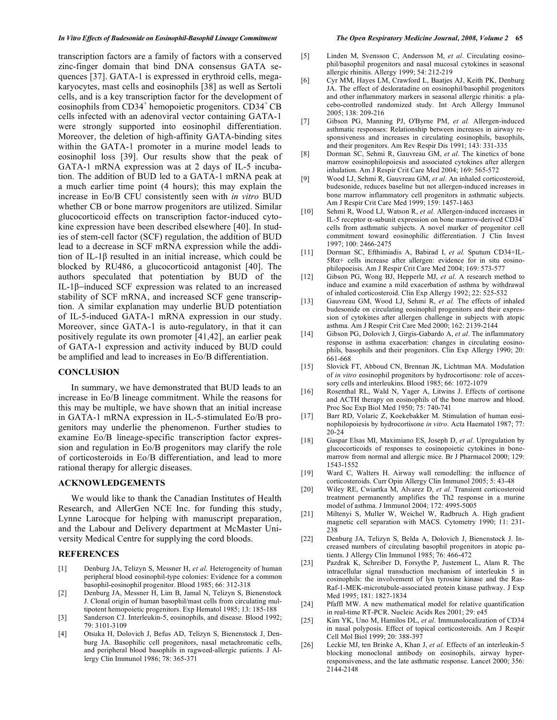#### *In Vitro Effects of Budesonide on Eosinophil-Basophil Lineage Commitment The Open Respiratory Medicine Journal, 2008, Volume 2* **65**

transcription factors are a family of factors with a conserved zinc-finger domain that bind DNA consensus GATA sequences [37]. GATA-1 is expressed in erythroid cells, megakaryocytes, mast cells and eosinophils [38] as well as Sertoli cells, and is a key transcription factor for the development of eosinophils from CD34<sup>+</sup> hemopoietic progenitors. CD34<sup>+</sup> CB cells infected with an adenoviral vector containing GATA-1 were strongly supported into eosinophil differentiation. Moreover, the deletion of high-affinity GATA-binding sites within the GATA-1 promoter in a murine model leads to eosinophil loss [39]. Our results show that the peak of GATA-1 mRNA expression was at 2 days of IL-5 incubation. The addition of BUD led to a GATA-1 mRNA peak at a much earlier time point (4 hours); this may explain the increase in Eo/B CFU consistently seen with *in vitro* BUD whether CB or bone marrow progenitors are utilized. Similar glucocorticoid effects on transcription factor-induced cytokine expression have been described elsewhere [40]. In studies of stem-cell factor (SCF) regulation, the addition of BUD lead to a decrease in SCF mRNA expression while the addition of IL-1 $\beta$  resulted in an initial increase, which could be blocked by RU486, a glucocorticoid antagonist [40]. The authors speculated that potentiation by BUD of the IL-1 $\beta$ -induced SCF expression was related to an increased stability of SCF mRNA, and increased SCF gene transcription. A similar explanation may underlie BUD potentiation of IL-5-induced GATA-1 mRNA expression in our study. Moreover, since GATA-1 is auto-regulatory, in that it can positively regulate its own promoter [41,42], an earlier peak of GATA-1 expression and activity induced by BUD could be amplified and lead to increases in Eo/B differentiation.

# **CONCLUSION**

 In summary, we have demonstrated that BUD leads to an increase in Eo/B lineage commitment. While the reasons for this may be multiple, we have shown that an initial increase in GATA-1 mRNA expression in IL-5-stimulated Eo/B progenitors may underlie the phenomenon. Further studies to examine Eo/B lineage-specific transcription factor expression and regulation in Eo/B progenitors may clarify the role of corticosteroids in Eo/B differentiation, and lead to more rational therapy for allergic diseases.

# **ACKNOWLEDGEMENTS**

 We would like to thank the Canadian Institutes of Health Research, and AllerGen NCE Inc. for funding this study, Lynne Larocque for helping with manuscript preparation, and the Labour and Delivery department at McMaster University Medical Centre for supplying the cord bloods.

# **REFERENCES**

- [1] Denburg JA, Telizyn S, Messner H, *et al*. Heterogeneity of human peripheral blood eosinophil-type colonies: Evidence for a common basophil-eosinophil progenitor. Blood 1985; 66: 312-318
- [2] Denburg JA, Messner H, Lim B, Jamal N, Telizyn S, Bienenstock J. Clonal origin of human basophil/mast cells from circulating multipotent hemopoietic progenitors. Exp Hematol 1985; 13: 185-188
- [3] Sanderson CJ. Interleukin-5, eosinophils, and disease. Blood 1992; 79: 3101-3109
- [4] Otsuka H, Dolovich J, Befus AD, Telizyn S, Bienenstock J, Denburg JA. Basophilic cell progenitors, nasal metachromatic cells, and peripheral blood basophils in ragweed-allergic patients. J Allergy Clin Immunol 1986; 78: 365-371

- [5] Linden M, Svensson C, Andersson M, *et al*. Circulating eosinophil/basophil progenitors and nasal mucosal cytokines in seasonal allergic rhinitis. Allergy 1999; 54: 212-219
- [6] Cyr MM, Hayes LM, Crawford L, Baatjes AJ, Keith PK, Denburg JA. The effect of desloratadine on eosinophil/basophil progenitors and other inflammatory markers in seasonal allergic rhinitis: a placebo-controlled randomized study. Int Arch Allergy Immunol 2005; 138: 209-216
- [7] Gibson PG, Manning PJ, O'Byrne PM, *et al.* Allergen-induced asthmatic responses: Relationship between increases in airway responsiveness and increases in circulating eosinophils, basophils, and their progenitors. Am Rev Respir Dis 1991; 143: 331-335
- [8] Dorman SC, Sehmi R, Gauvreau GM, *et al*. The kinetics of bone marrow eosinophilopoiesis and associated cytokines after allergen inhalation. Am J Respir Crit Care Med 2004; 169: 565-572
- [9] Wood LJ, Sehmi R, Gauvreau GM, *et al*. An inhaled corticosteroid, budesonide, reduces baseline but not allergen-induced increases in bone marrow inflammatory cell progenitors in asthmatic subjects. Am J Respir Crit Care Med 1999; 159: 1457-1463
- [10] Sehmi R, Wood LJ, Watson R, *et al*. Allergen-induced increases in IL-5 receptor  $\alpha$ -subunit expression on bone marrow-derived CD34<sup>+</sup> cells from asthmatic subjects. A novel marker of progenitor cell commitment toward eosinophilic differentiation. J Clin Invest 1997; 100: 2466-2475
- [11] Dorman SC, Efthimiadis A, Babirad I, *et al.* Sputum CD34+IL- $5R\alpha$ + cells increase after allergen: evidence for in situ eosinophilopoeisis. Am J Respir Crit Care Med 2004; 169: 573-577
- [12] Gibson PG, Wong BJ, Hepperle MJ, *et al*. A research method to induce and examine a mild exacerbation of asthma by withdrawal of inhaled corticosteroid. Clin Exp Allergy 1992; 22: 525-532
- [13] Gauvreau GM, Wood LJ, Sehmi R, *et al.* The effects of inhaled budesonide on circulating eosinophil progenitors and their expression of cytokines after allergen challenge in subjects with atopic asthma. Am J Respir Crit Care Med 2000; 162: 2139-2144
- [14] Gibson PG, Dolovich J, Girgis-Gabardo A, *et al*. The inflammatory response in asthma exacerbation: changes in circulating eosinophils, basophils and their progenitors. Clin Exp Allergy 1990; 20: 661-668
- [15] Slovick FT, Abboud CN, Brennan JK, Lichtman MA. Modulation of *in vitro* eosinophil progenitors by hydrocortisone: role of accessory cells and interleukins. Blood 1985; 66: 1072-1079
- [16] Rosenthal RL, Wald N, Yager A, Litwins J. Effects of cortisone and ACTH therapy on eosinophils of the bone marrow and blood. Proc Soc Exp Biol Med 1950; 75: 740-741
- [17] Barr RD, Volaric Z, Koekebakker M. Stimulation of human eosinophilopoiesis by hydrocortisone *in vitro*. Acta Haematol 1987; 77: 20-24
- [18] Gaspar Elsas MI, Maximiano ES, Joseph D, *et al*. Upregulation by glucocorticoids of responses to eosinopoietic cytokines in bonemarrow from normal and allergic mice. Br J Pharmacol 2000; 129: 1543-1552
- [19] Ward C, Walters H. Airway wall remodelling: the influence of corticosteroids. Curr Opin Allergy Clin Immunol 2005; 5: 43-48
- [20] Wiley RE, Cwiartka M, Alvarez D, *et al*. Transient corticosteroid treatment permanently amplifies the Th2 response in a murine model of asthma. J Immunol 2004; 172: 4995-5005
- [21] Miltenyi S, Muller W, Weichel W, Radbruch A. High gradient magnetic cell separation with MACS. Cytometry 1990; 11: 231- 238
- [22] Denburg JA, Telizyn S, Belda A, Dolovich J, Bienenstock J. Increased numbers of circulating basophil progenitors in atopic patients. J Allergy Clin Immunol 1985; 76: 466-472
- [23] Pazdrak K, Schreiber D, Forsythe P, Justement L, Alam R. The intracellular signal transduction mechanism of interleukin 5 in eosinophils: the involvement of lyn tyrosine kinase and the Ras-Raf-1-MEK-microtubule-associated protein kinase pathway. J Exp Med 1995; 181: 1827-1834
- [24] Pfaffl MW. A new mathematical model for relative quantification in real-time RT-PCR. Nucleic Acids Res 2001; 29: e45
- [25] Kim YK, Uno M, Hamilos DL, *et al*. Immunolocalization of CD34 in nasal polyposis. Effect of topical corticosteroids. Am J Respir Cell Mol Biol 1999; 20: 388-397
- [26] Leckie MJ, ten Brinke A, Khan J, *et al*. Effects of an interleukin-5 blocking monoclonal antibody on eosinophils, airway hyperresponsiveness, and the late asthmatic response. Lancet 2000; 356: 2144-2148